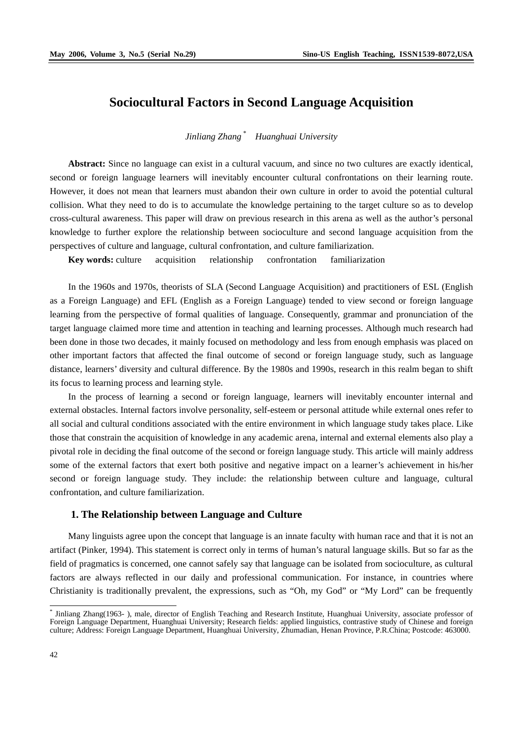# **Sociocultural Factors in Second Language Acquisition**

*Jinliang Zhang \* Huanghuai University* 

**Abstract:** Since no language can exist in a cultural vacuum, and since no two cultures are exactly identical, second or foreign language learners will inevitably encounter cultural confrontations on their learning route. However, it does not mean that learners must abandon their own culture in order to avoid the potential cultural collision. What they need to do is to accumulate the knowledge pertaining to the target culture so as to develop cross-cultural awareness. This paper will draw on previous research in this arena as well as the author's personal knowledge to further explore the relationship between socioculture and second language acquisition from the perspectives of culture and language, cultural confrontation, and culture familiarization.

**Key words:** culture acquisition relationship confrontation familiarization

In the 1960s and 1970s, theorists of SLA (Second Language Acquisition) and practitioners of ESL (English as a Foreign Language) and EFL (English as a Foreign Language) tended to view second or foreign language learning from the perspective of formal qualities of language. Consequently, grammar and pronunciation of the target language claimed more time and attention in teaching and learning processes. Although much research had been done in those two decades, it mainly focused on methodology and less from enough emphasis was placed on other important factors that affected the final outcome of second or foreign language study, such as language distance, learners' diversity and cultural difference. By the 1980s and 1990s, research in this realm began to shift its focus to learning process and learning style.

In the process of learning a second or foreign language, learners will inevitably encounter internal and external obstacles. Internal factors involve personality, self-esteem or personal attitude while external ones refer to all social and cultural conditions associated with the entire environment in which language study takes place. Like those that constrain the acquisition of knowledge in any academic arena, internal and external elements also play a pivotal role in deciding the final outcome of the second or foreign language study. This article will mainly address some of the external factors that exert both positive and negative impact on a learner's achievement in his/her second or foreign language study. They include: the relationship between culture and language, cultural confrontation, and culture familiarization.

#### **1. The Relationship between Language and Culture**

Many linguists agree upon the concept that language is an innate faculty with human race and that it is not an artifact (Pinker, 1994). This statement is correct only in terms of human's natural language skills. But so far as the field of pragmatics is concerned, one cannot safely say that language can be isolated from socioculture, as cultural factors are always reflected in our daily and professional communication. For instance, in countries where Christianity is traditionally prevalent, the expressions, such as "Oh, my God" or "My Lord" can be frequently

 \* Jinliang Zhang(1963- ), male, director of English Teaching and Research Institute, Huanghuai University, associate professor of Foreign Language Department, Huanghuai University; Research fields: applied linguistics, contrastive study of Chinese and foreign culture; Address: Foreign Language Department, Huanghuai University, Zhumadian, Henan Province, P.R.China; Postcode: 463000.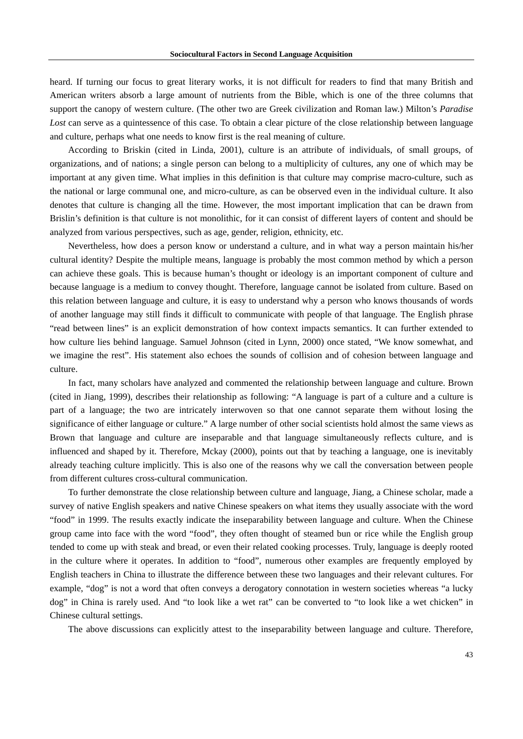heard. If turning our focus to great literary works, it is not difficult for readers to find that many British and American writers absorb a large amount of nutrients from the Bible, which is one of the three columns that support the canopy of western culture. (The other two are Greek civilization and Roman law.) Milton's *Paradise Lost* can serve as a quintessence of this case. To obtain a clear picture of the close relationship between language and culture, perhaps what one needs to know first is the real meaning of culture.

According to Briskin (cited in Linda, 2001), culture is an attribute of individuals, of small groups, of organizations, and of nations; a single person can belong to a multiplicity of cultures, any one of which may be important at any given time. What implies in this definition is that culture may comprise macro-culture, such as the national or large communal one, and micro-culture, as can be observed even in the individual culture. It also denotes that culture is changing all the time. However, the most important implication that can be drawn from Brislin's definition is that culture is not monolithic, for it can consist of different layers of content and should be analyzed from various perspectives, such as age, gender, religion, ethnicity, etc.

Nevertheless, how does a person know or understand a culture, and in what way a person maintain his/her cultural identity? Despite the multiple means, language is probably the most common method by which a person can achieve these goals. This is because human's thought or ideology is an important component of culture and because language is a medium to convey thought. Therefore, language cannot be isolated from culture. Based on this relation between language and culture, it is easy to understand why a person who knows thousands of words of another language may still finds it difficult to communicate with people of that language. The English phrase "read between lines" is an explicit demonstration of how context impacts semantics. It can further extended to how culture lies behind language. Samuel Johnson (cited in Lynn, 2000) once stated, "We know somewhat, and we imagine the rest". His statement also echoes the sounds of collision and of cohesion between language and culture.

In fact, many scholars have analyzed and commented the relationship between language and culture. Brown (cited in Jiang, 1999), describes their relationship as following: "A language is part of a culture and a culture is part of a language; the two are intricately interwoven so that one cannot separate them without losing the significance of either language or culture." A large number of other social scientists hold almost the same views as Brown that language and culture are inseparable and that language simultaneously reflects culture, and is influenced and shaped by it. Therefore, Mckay (2000), points out that by teaching a language, one is inevitably already teaching culture implicitly. This is also one of the reasons why we call the conversation between people from different cultures cross-cultural communication.

To further demonstrate the close relationship between culture and language, Jiang, a Chinese scholar, made a survey of native English speakers and native Chinese speakers on what items they usually associate with the word "food" in 1999. The results exactly indicate the inseparability between language and culture. When the Chinese group came into face with the word "food", they often thought of steamed bun or rice while the English group tended to come up with steak and bread, or even their related cooking processes. Truly, language is deeply rooted in the culture where it operates. In addition to "food", numerous other examples are frequently employed by English teachers in China to illustrate the difference between these two languages and their relevant cultures. For example, "dog" is not a word that often conveys a derogatory connotation in western societies whereas "a lucky dog" in China is rarely used. And "to look like a wet rat" can be converted to "to look like a wet chicken" in Chinese cultural settings.

The above discussions can explicitly attest to the inseparability between language and culture. Therefore,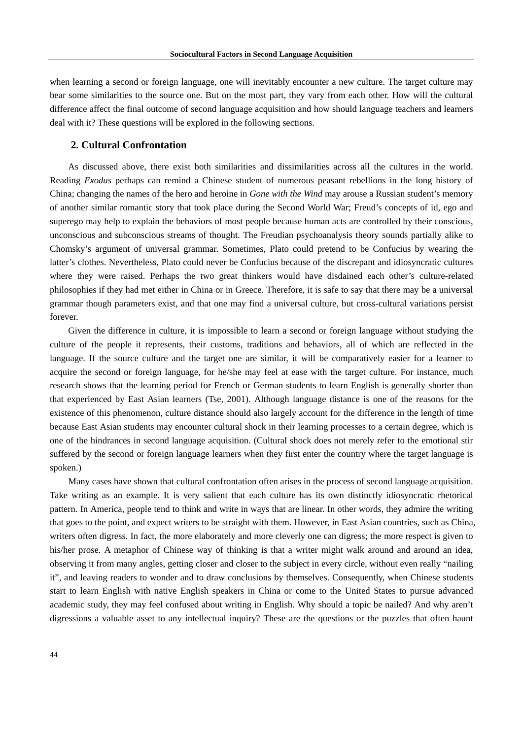when learning a second or foreign language, one will inevitably encounter a new culture. The target culture may bear some similarities to the source one. But on the most part, they vary from each other. How will the cultural difference affect the final outcome of second language acquisition and how should language teachers and learners deal with it? These questions will be explored in the following sections.

## **2. Cultural Confrontation**

As discussed above, there exist both similarities and dissimilarities across all the cultures in the world. Reading *Exodus* perhaps can remind a Chinese student of numerous peasant rebellions in the long history of China; changing the names of the hero and heroine in *Gone with the Wind* may arouse a Russian student's memory of another similar romantic story that took place during the Second World War; Freud's concepts of id, ego and superego may help to explain the behaviors of most people because human acts are controlled by their conscious, unconscious and subconscious streams of thought. The Freudian psychoanalysis theory sounds partially alike to Chomsky's argument of universal grammar. Sometimes, Plato could pretend to be Confucius by wearing the latter's clothes. Nevertheless, Plato could never be Confucius because of the discrepant and idiosyncratic cultures where they were raised. Perhaps the two great thinkers would have disdained each other's culture-related philosophies if they had met either in China or in Greece. Therefore, it is safe to say that there may be a universal grammar though parameters exist, and that one may find a universal culture, but cross-cultural variations persist forever.

Given the difference in culture, it is impossible to learn a second or foreign language without studying the culture of the people it represents, their customs, traditions and behaviors, all of which are reflected in the language. If the source culture and the target one are similar, it will be comparatively easier for a learner to acquire the second or foreign language, for he/she may feel at ease with the target culture. For instance, much research shows that the learning period for French or German students to learn English is generally shorter than that experienced by East Asian learners (Tse, 2001). Although language distance is one of the reasons for the existence of this phenomenon, culture distance should also largely account for the difference in the length of time because East Asian students may encounter cultural shock in their learning processes to a certain degree, which is one of the hindrances in second language acquisition. (Cultural shock does not merely refer to the emotional stir suffered by the second or foreign language learners when they first enter the country where the target language is spoken.)

Many cases have shown that cultural confrontation often arises in the process of second language acquisition. Take writing as an example. It is very salient that each culture has its own distinctly idiosyncratic rhetorical pattern. In America, people tend to think and write in ways that are linear. In other words, they admire the writing that goes to the point, and expect writers to be straight with them. However, in East Asian countries, such as China, writers often digress. In fact, the more elaborately and more cleverly one can digress; the more respect is given to his/her prose. A metaphor of Chinese way of thinking is that a writer might walk around and around an idea, observing it from many angles, getting closer and closer to the subject in every circle, without even really "nailing it", and leaving readers to wonder and to draw conclusions by themselves. Consequently, when Chinese students start to learn English with native English speakers in China or come to the United States to pursue advanced academic study, they may feel confused about writing in English. Why should a topic be nailed? And why aren't digressions a valuable asset to any intellectual inquiry? These are the questions or the puzzles that often haunt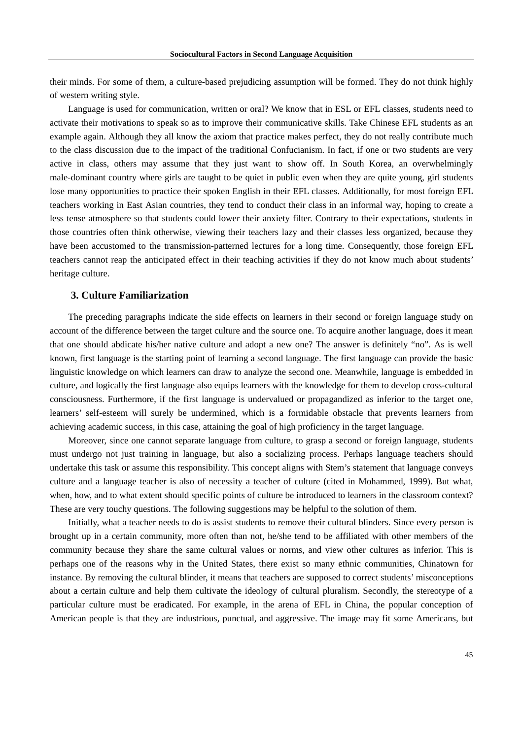their minds. For some of them, a culture-based prejudicing assumption will be formed. They do not think highly of western writing style.

Language is used for communication, written or oral? We know that in ESL or EFL classes, students need to activate their motivations to speak so as to improve their communicative skills. Take Chinese EFL students as an example again. Although they all know the axiom that practice makes perfect, they do not really contribute much to the class discussion due to the impact of the traditional Confucianism. In fact, if one or two students are very active in class, others may assume that they just want to show off. In South Korea, an overwhelmingly male-dominant country where girls are taught to be quiet in public even when they are quite young, girl students lose many opportunities to practice their spoken English in their EFL classes. Additionally, for most foreign EFL teachers working in East Asian countries, they tend to conduct their class in an informal way, hoping to create a less tense atmosphere so that students could lower their anxiety filter. Contrary to their expectations, students in those countries often think otherwise, viewing their teachers lazy and their classes less organized, because they have been accustomed to the transmission-patterned lectures for a long time. Consequently, those foreign EFL teachers cannot reap the anticipated effect in their teaching activities if they do not know much about students' heritage culture.

### **3. Culture Familiarization**

The preceding paragraphs indicate the side effects on learners in their second or foreign language study on account of the difference between the target culture and the source one. To acquire another language, does it mean that one should abdicate his/her native culture and adopt a new one? The answer is definitely "no". As is well known, first language is the starting point of learning a second language. The first language can provide the basic linguistic knowledge on which learners can draw to analyze the second one. Meanwhile, language is embedded in culture, and logically the first language also equips learners with the knowledge for them to develop cross-cultural consciousness. Furthermore, if the first language is undervalued or propagandized as inferior to the target one, learners' self-esteem will surely be undermined, which is a formidable obstacle that prevents learners from achieving academic success, in this case, attaining the goal of high proficiency in the target language.

Moreover, since one cannot separate language from culture, to grasp a second or foreign language, students must undergo not just training in language, but also a socializing process. Perhaps language teachers should undertake this task or assume this responsibility. This concept aligns with Stem's statement that language conveys culture and a language teacher is also of necessity a teacher of culture (cited in Mohammed, 1999). But what, when, how, and to what extent should specific points of culture be introduced to learners in the classroom context? These are very touchy questions. The following suggestions may be helpful to the solution of them.

Initially, what a teacher needs to do is assist students to remove their cultural blinders. Since every person is brought up in a certain community, more often than not, he/she tend to be affiliated with other members of the community because they share the same cultural values or norms, and view other cultures as inferior. This is perhaps one of the reasons why in the United States, there exist so many ethnic communities, Chinatown for instance. By removing the cultural blinder, it means that teachers are supposed to correct students' misconceptions about a certain culture and help them cultivate the ideology of cultural pluralism. Secondly, the stereotype of a particular culture must be eradicated. For example, in the arena of EFL in China, the popular conception of American people is that they are industrious, punctual, and aggressive. The image may fit some Americans, but